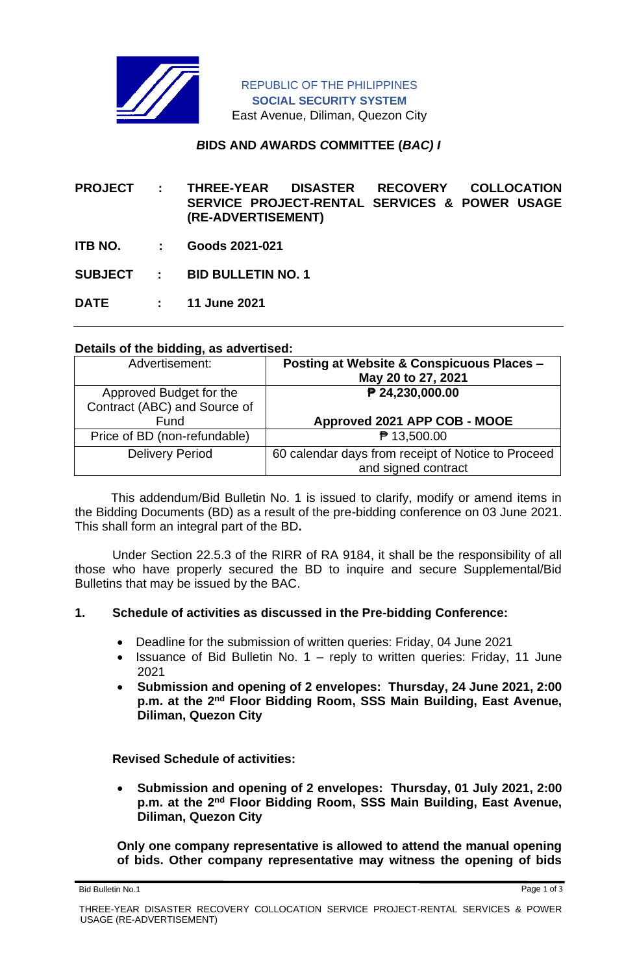

# *B***IDS AND** *A***WARDS** *C***OMMITTEE (***BAC) I*

**PROJECT : THREE-YEAR DISASTER RECOVERY COLLOCATION SERVICE PROJECT-RENTAL SERVICES & POWER USAGE (RE-ADVERTISEMENT)** 

**ITB NO. : Goods 2021-021**

**SUBJECT : BID BULLETIN NO. 1**

**DATE : 11 June 2021**

# **Details of the bidding, as advertised:**

| Advertisement:               | <b>Posting at Website &amp; Conspicuous Places -</b><br>May 20 to 27, 2021 |
|------------------------------|----------------------------------------------------------------------------|
| Approved Budget for the      | ₱ 24,230,000.00                                                            |
| Contract (ABC) and Source of |                                                                            |
| Fund                         | Approved 2021 APP COB - MOOE                                               |
| Price of BD (non-refundable) | ₱ 13,500.00                                                                |
| <b>Delivery Period</b>       | 60 calendar days from receipt of Notice to Proceed                         |
|                              | and signed contract                                                        |

 This addendum/Bid Bulletin No. 1 is issued to clarify, modify or amend items in the Bidding Documents (BD) as a result of the pre-bidding conference on 03 June 2021. This shall form an integral part of the BD**.**

Under Section 22.5.3 of the RIRR of RA 9184, it shall be the responsibility of all those who have properly secured the BD to inquire and secure Supplemental/Bid Bulletins that may be issued by the BAC.

#### **1. Schedule of activities as discussed in the Pre-bidding Conference:**

- Deadline for the submission of written queries: Friday, 04 June 2021
- Issuance of Bid Bulletin No. 1 reply to written queries: Friday, 11 June 2021
- **Submission and opening of 2 envelopes: Thursday, 24 June 2021, 2:00 p.m. at the 2nd Floor Bidding Room, SSS Main Building, East Avenue, Diliman, Quezon City**

**Revised Schedule of activities:**

• **Submission and opening of 2 envelopes: Thursday, 01 July 2021, 2:00 p.m. at the 2nd Floor Bidding Room, SSS Main Building, East Avenue, Diliman, Quezon City**

**Only one company representative is allowed to attend the manual opening of bids. Other company representative may witness the opening of bids** 

Bid Bulletin No.1 Page 1 of 3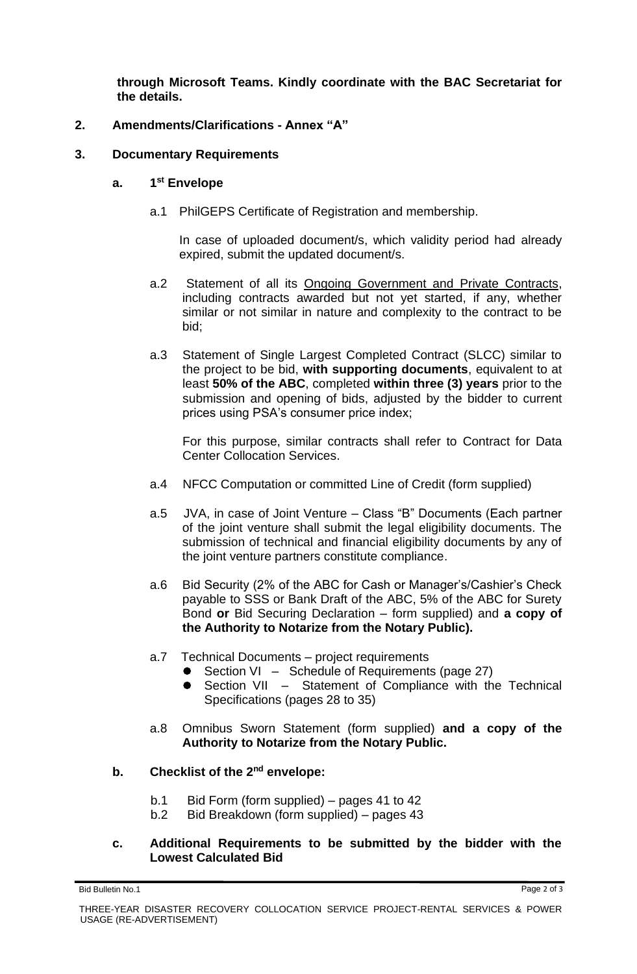**through Microsoft Teams. Kindly coordinate with the BAC Secretariat for the details.**

# **2. Amendments/Clarifications - Annex "A"**

### **3. Documentary Requirements**

#### **a. 1 st Envelope**

a.1 PhilGEPS Certificate of Registration and membership.

In case of uploaded document/s, which validity period had already expired, submit the updated document/s.

- a.2 Statement of all its Ongoing Government and Private Contracts, including contracts awarded but not yet started, if any, whether similar or not similar in nature and complexity to the contract to be bid;
- a.3 Statement of Single Largest Completed Contract (SLCC) similar to the project to be bid, **with supporting documents**, equivalent to at least **50% of the ABC**, completed **within three (3) years** prior to the submission and opening of bids, adjusted by the bidder to current prices using PSA's consumer price index;

For this purpose, similar contracts shall refer to Contract for Data Center Collocation Services.

- a.4 NFCC Computation or committed Line of Credit (form supplied)
- a.5 JVA, in case of Joint Venture Class "B" Documents (Each partner of the joint venture shall submit the legal eligibility documents. The submission of technical and financial eligibility documents by any of the joint venture partners constitute compliance.
- a.6 Bid Security (2% of the ABC for Cash or Manager's/Cashier's Check payable to SSS or Bank Draft of the ABC, 5% of the ABC for Surety Bond **or** Bid Securing Declaration – form supplied) and **a copy of the Authority to Notarize from the Notary Public).**
- a.7 Technical Documents project requirements
	- Section VI Schedule of Requirements (page 27)
	- Section VII Statement of Compliance with the Technical Specifications (pages 28 to 35)
- a.8 Omnibus Sworn Statement (form supplied) **and a copy of the Authority to Notarize from the Notary Public.**

# **b. Checklist of the 2nd envelope:**

- b.1 Bid Form (form supplied) pages 41 to 42
- b.2 Bid Breakdown (form supplied) pages 43

# **c. Additional Requirements to be submitted by the bidder with the Lowest Calculated Bid**

Bid Bulletin No.1 Page 2 of 3